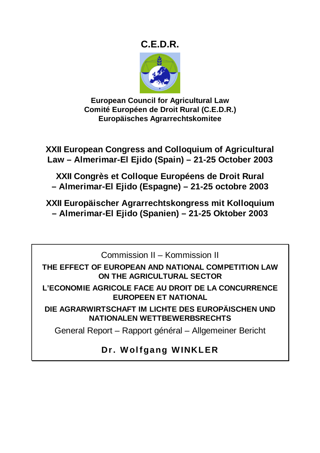## **C.E.D.R.**



**European Council for Agricultural Law Comité Européen de Droit Rural (C.E.D.R.) Europäisches Agrarrechtskomitee** 

**XXII European Congress and Colloquium of Agricultural Law – Almerimar-El Ejido (Spain) – 21-25 October 2003** 

**XXII Congrès et Colloque Européens de Droit Rural – Almerimar-El Ejido (Espagne) – 21-25 octobre 2003** 

**XXII Europäischer Agrarrechtskongress mit Kolloquium – Almerimar-El Ejido (Spanien) – 21-25 Oktober 2003** 

Commission II – Kommission II

**THE EFFECT OF EUROPEAN AND NATIONAL COMPETITION LAW ON THE AGRICULTURAL SECTOR** 

**L'ECONOMIE AGRICOLE FACE AU DROIT DE LA CONCURRENCE EUROPEEN ET NATIONAL** 

**DIE AGRARWIRTSCHAFT IM LICHTE DES EUROPÄISCHEN UND NATIONALEN WETTBEWERBSRECHTS** 

General Report – Rapport général – Allgemeiner Bericht

**Dr. Wolfgang WINKLER**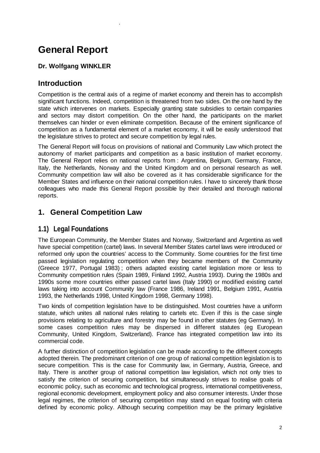# **General Report**

.

### **Dr. Wolfgang WINKLER**

### **Introduction**

Competition is the central axis of a regime of market economy and therein has to accomplish significant functions. Indeed, competition is threatened from two sides. On the one hand by the state which intervenes on markets. Especially granting state subsidies to certain companies and sectors may distort competition. On the other hand, the participants on the market themselves can hinder or even eliminate competition. Because of the eminent significance of competition as a fundamental element of a market economy, it will be easily understood that the legislature strives to protect and secure competition by legal rules.

The General Report will focus on provisions of national and Community Law which protect the autonomy of market participants and competition as a basic institution of market economy. The General Report relies on national reports from : Argentina, Belgium, Germany, France, Italy, the Netherlands, Norway and the United Kingdom and on personal research as well. Community competition law will also be covered as it has considerable significance for the Member States and influence on their national competition rules. I have to sincerely thank those colleagues who made this General Report possible by their detailed and thorough national reports.

### **1. General Competition Law**

### **1.1) Legal Foundations**

The European Community, the Member States and Norway, Switzerland and Argentina as well have special competition (cartel) laws. In several Member States cartel laws were introduced or reformed only upon the countries' access to the Community. Some countries for the first time passed legislation regulating competition when they became members of the Community (Greece 1977, Portugal 1983) ; others adapted existing cartel legislation more or less to Community competition rules (Spain 1989, Finland 1992, Austria 1993). During the 1980s and 1990s some more countries either passed cartel laws (Italy 1990) or modified existing cartel laws taking into account Community law (France 1986, Ireland 1991, Belgium 1991, Austria 1993, the Netherlands 1998, United Kingdom 1998, Germany 1998).

Two kinds of competition legislation have to be distinguished. Most countries have a uniform statute, which unites all national rules relating to cartels etc. Even if this is the case single provisions relating to agriculture and forestry may be found in other statutes (eg Germany). In some cases competition rules may be dispersed in different statutes (eg European Community, United Kingdom, Switzerland). France has integrated competition law into its commercial code.

A further distinction of competition legislation can be made according to the different concepts adopted therein. The predominant criterion of one group of national competition legislation is to secure competition. This is the case for Community law, in Germany, Austria, Greece, and Italy. There is another group of national competition law legislation, which not only tries to satisfy the criterion of securing competition, but simultaneously strives to realise goals of economic policy, such as economic and technological progress, international competitiveness, regional economic development, employment policy and also consumer interests. Under those legal regimes, the criterion of securing competition may stand on equal footing with criteria defined by economic policy. Although securing competition may be the primary legislative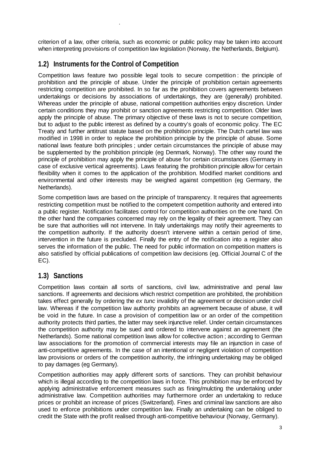criterion of a law, other criteria, such as economic or public policy may be taken into account when interpreting provisions of competition law legislation (Norway, the Netherlands, Belgium).

### **1.2) Instruments for the Control of Competition**

.

Competition laws feature two possible legal tools to secure competition : the principle of prohibition and the principle of abuse. Under the principle of prohibition certain agreements restricting competition are prohibited. In so far as the prohibition covers agreements between undertakings or decisions by associations of undertakings, they are (generally) prohibited. Whereas under the principle of abuse, national competition authorities enjoy discretion. Under certain conditions they may prohibit or sanction agreements restricting competition. Older laws apply the principle of abuse. The primary objective of these laws is not to secure competition, but to adjust to the public interest as defined by a country's goals of economic policy. The EC Treaty and further antitrust statute based on the prohibition principle. The Dutch cartel law was modified in 1998 in order to replace the prohibition principle by the principle of abuse. Some national laws feature both principles ; under certain circumstances the principle of abuse may be supplemented by the prohibition principle (eg Denmark, Norway). The other way round the principle of prohibition may apply the principle of abuse for certain circumstances (Germany in case of exclusive vertical agreements). Laws featuring the prohibition principle allow for certain flexibility when it comes to the application of the prohibition. Modified market conditions and environmental and other interests may be weighed against competition (eg Germany, the Netherlands).

Some competition laws are based on the principle of transparency. It requires that agreements restricting competition must be notified to the competent competition authority and entered into a public register. Notification facilitates control for competition authorities on the one hand. On the other hand the companies concerned may rely on the legality of their agreement. They can be sure that authorities will not intervene. In Italy undertakings may notify their agreements to the competition authority. If the authority doesn't intervene within a certain period of time, intervention in the future is precluded. Finally the entry of the notification into a register also serves the information of the public. The need for public information on competition matters is also satisfied by official publications of competition law decisions (eg. Official Journal C of the EC).

### **1.3) Sanctions**

Competition laws contain all sorts of sanctions, civil law, administrative and penal law sanctions. If agreements and decisions which restrict competition are prohibited, the prohibition takes effect generally by ordering the *ex tunc* invalidity of the agreement or decision under civil law. Whereas if the competition law authority prohibits an agreement because of abuse, it will be void in the future. In case a provision of competition law or an order of the competition authority protects third parties, the latter may seek injunctive relief. Under certain circumstances the competition authority may be sued and ordered to intervene against an agreement (the Netherlands). Some national competition laws allow for collective action ; according to German law associations for the promotion of commercial interests may file an injunction in case of anti-competitive agreements. In the case of an intentional or negligent violation of competition law provisions or orders of the competition authority, the infringing undertaking may be obliged to pay damages (eg Germany).

Competition authorities may apply different sorts of sanctions. They can prohibit behaviour which is illegal according to the competition laws in force. This prohibition may be enforced by applying administrative enforcement measures such as fining/mulcting the undertaking under administrative law. Competition authorities may furthermore order an undertaking to reduce prices or prohibit an increase of prices (Switzerland). Fines and criminal law sanctions are also used to enforce prohibitions under competition law. Finally an undertaking can be obliged to credit the State with the profit realised through anti-competitive behaviour (Norway, Germany).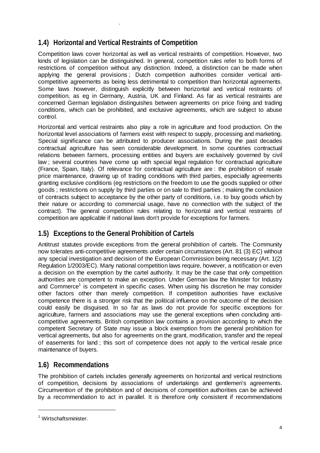### **1.4) Horizontal and Vertical Restraints of Competition**

.

Competition laws cover horizontal as well as vertical restraints of competition. However, two kinds of legislation can be distinguished. In general, competition rules refer to both forms of restrictions of competition without any distinction. Indeed, a distinction can be made when applying the general provisions ; Dutch competition authorities consider vertical anticompetitive agreements as being less detrimental to competition than horizontal agreements. Some laws however, distinguish explicitly between horizontal and vertical restraints of competition, as eg in Germany, Austria, UK and Finland. As far as vertical restraints are concerned German legislation distinguishes between agreements on price fixing and trading conditions, which can be prohibited, and exclusive agreements, which are subject to abuse control.

Horizontal and vertical restraints also play a role in agriculture and food production. On the horizontal level associations of farmers exist with respect to supply, processing and marketing. Special significance can be attributed to producer associations. During the past decades contractual agriculture has seen considerable development. In some countries contractual relations between farmers, processing entities and buyers are exclusively governed by civil law ; several countries have come up with special legal regulation for contractual agriculture (France, Spain, Italy). Of relevance for contractual agriculture are : the prohibition of resale price maintenance, drawing up of trading conditions with third parties, especially agreements granting exclusive conditions (eg restrictions on the freedom to use the goods supplied or other goods ; restrictions on supply by third parties or on sale to third parties ; making the conclusion of contracts subject to acceptance by the other party of conditions, i.e. to buy goods which by their nature or according to commercial usage, have no connection with the subject of the contract). The general competition rules relating to horizontal and vertical restraints of competition are applicable if national laws don't provide for exceptions for farmers.

### **1.5) Exceptions to the General Prohibition of Cartels**

Antitrust statutes provide exceptions from the general prohibition of cartels. The Community now tolerates anti-competitive agreements under certain circumstances (Art. 81 (3) EC) without any special investigation and decision of the European Commission being necessary (Art. 1(2) Regulation 1/2003/EC). Many national competition laws require, however, a notification or even a decision on the exemption by the cartel authority. It may be the case that only competition authorities are competent to make an exception. Under German law the Minister for Industry and Commerce<sup>1</sup> is competent in specific cases. When using his discretion he may consider other factors other than merely competition. If competition authorities have exclusive competence there is a stronger risk that the political influence on the outcome of the decision could easily be disguised. In so far as laws do not provide for specific exceptions for agriculture, farmers and associations may use the general exceptions when concluding anticompetitive agreements. British competition law contains a provision according to which the competent Secretary of State may issue a block exemption from the general prohibition for vertical agreements, but also for agreements on the grant, modification, transfer and the repeal of easements for land ; this sort of competence does not apply to the vertical resale price maintenance of buyers.

### **1.6) Recommendations**

The prohibition of cartels includes generally agreements on horizontal and vertical restrictions of competition, decisions by associations of undertakings and gentlemen's agreements. Circumvention of the prohibition and of decisions of competition authorities can be achieved by a recommendation to act in parallel. It is therefore only consistent if recommendations

 $\overline{a}$ 

<sup>&</sup>lt;sup>1</sup> Wirtschaftsminister.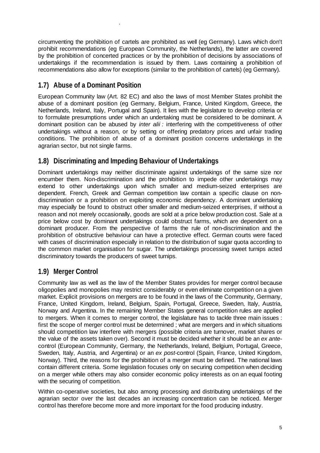circumventing the prohibition of cartels are prohibited as well (eg Germany). Laws which don't prohibit recommendations (eg European Community, the Netherlands), the latter are covered by the prohibition of concerted practices or by the prohibition of decisions by associations of undertakings if the recommendation is issued by them. Laws containing a prohibition of recommendations also allow for exceptions (similar to the prohibition of cartels) (eg Germany).

### **1.7) Abuse of a Dominant Position**

.

European Community law (Art. 82 EC) and also the laws of most Member States prohibit the abuse of a dominant position (eg Germany, Belgium, France, United Kingdom, Greece, the Netherlands, Ireland, Italy, Portugal and Spain). It lies with the legislature to develop criteria or to formulate presumptions under which an undertaking must be considered to be dominant. A dominant position can be abused by *inter alii :* interfering with the competitiveness of other undertakings without a reason, or by setting or offering predatory prices and unfair trading conditions. The prohibition of abuse of a dominant position concerns undertakings in the agrarian sector, but not single farms.

### **1.8) Discriminating and Impeding Behaviour of Undertakings**

Dominant undertakings may neither discriminate against undertakings of the same size nor encumber them. Non-discrimination and the prohibition to impede other undertakings may extend to other undertakings upon which smaller and medium-seized enterprises are dependent. French, Greek and German competition law contain a specific clause on nondiscrimination or a prohibition on exploiting economic dependency. A dominant undertaking may especially be found to obstruct other smaller and medium-seized enterprises, if without a reason and not merely occasionally, goods are sold at a price below production cost. Sale at a price below cost by dominant undertakings could obstruct farms, which are dependent on a dominant producer. From the perspective of farms the rule of non-discrimination and the prohibition of obstructive behaviour can have a protective effect. German courts were faced with cases of discrimination especially in relation to the distribution of sugar quota according to the common market organisation for sugar. The undertakings processing sweet turnips acted discriminatory towards the producers of sweet turnips.

### **1.9) Merger Control**

Community law as well as the law of the Member States provides for merger control because oligopolies and monopolies may restrict considerably or even eliminate competition on a given market. Explicit provisions on mergers are to be found in the laws of the Community, Germany, France, United Kingdom, Ireland, Belgium, Spain, Portugal, Greece, Sweden, Italy, Austria, Norway and Argentina. In the remaining Member States general competition rules are applied to mergers. When it comes to merger control, the legislature has to tackle three main issues : first the scope of merger control must be determined ; what are mergers and in which situations should competition law interfere with mergers (possible criteria are turnover, market shares or the value of the assets taken over). Second it must be decided whether it should be an *ex ante*control (European Community, Germany, the Netherlands, Ireland, Belgium, Portugal, Greece, Sweden, Italy, Austria, and Argentina) or an *ex post-*control (Spain, France, United Kingdom, Norway). Third, the reasons for the prohibition of a merger must be defined. The national laws contain different criteria. Some legislation focuses only on securing competition when deciding on a merger while others may also consider economic policy interests as on an equal footing with the securing of competition.

Within co-operative societies, but also among processing and distributing undertakings of the agrarian sector over the last decades an increasing concentration can be noticed. Merger control has therefore become more and more important for the food producing industry.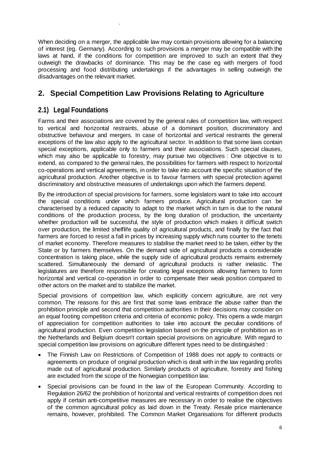When deciding on a merger, the applicable law may contain provisions allowing for a balancing of interest (eg. Germany). According to such provisions a merger may be compatible with the laws at hand, if the conditions for competition are improved to such an extent that they outweigh the drawbacks of dominance. This may be the case eg with mergers of food processing and food distributing undertakings if the advantages in selling outweigh the disadvantages on the relevant market.

### **2. Special Competition Law Provisions Relating to Agriculture**

### **2.1) Legal Foundations**

.

Farms and their associations are covered by the general rules of competition law, with respect to vertical and horizontal restraints, abuse of a dominant position, discriminatory and obstructive behaviour and mergers. In case of horizontal and vertical restraints the general exceptions of the law also apply to the agricultural sector. In addition to that some laws contain special exceptions, applicable only to farmers and their associations. Such special clauses, which may also be applicable to forestry, may pursue two objectives : One objective is to extend, as compared to the general rules, the possibilities for farmers with respect to horizontal co-operations and vertical agreements, in order to take into account the specific situation of the agricultural production. Another objective is to favour farmers with special protection against discriminatory and obstructive measures of undertakings upon which the farmers depend.

By the introduction of special provisions for farmers, some legislators want to take into account the special conditions under which farmers produce. Agricultural production can be characterised by a reduced capacity to adapt to the market which in turn is due to the natural conditions of the production process, by the long duration of production, the uncertainty whether production will be successful, the style of production which makes it difficult switch over production, the limited shelflife quality of agricultural products, and finally by the fact that farmers are forced to resist a fall in prices by increasing supply which runs counter to the tenets of market economy. Therefore measures to stabilise the market need to be taken, either by the State or by farmers themselves. On the demand side of agricultural products a considerable concentration is taking place, while the supply side of agricultural products remains extremely scattered. Simultaneously the demand of agricultural products is rather inelastic. The legislatures are therefore responsible for creating legal exceptions allowing farmers to form horizontal and vertical co-operation in order to compensate their weak position compared to other actors on the market and to stabilize the market.

Special provisions of competition law, which explicitly concern agriculture, are not very common. The reasons for this are first that some laws embrace the abuse rather than the prohibition principle and second that competition authorities in their decisions may consider on an equal footing competition criteria and criteria of economic policy. This opens a wide margin of appreciation for competition authorities to take into account the peculiar conditions of agricultural production. Even competition legislation based on the principle of prohibition as in the Netherlands and Belgium doesn't contain special provisions on agriculture. With regard to special competition law provisions on agriculture different types need to be distinguished :

- The Finnish Law on Restrictions of Competition of 1988 does not apply to contracts or agreements on produce of original production which is dealt with in the law regarding profits made out of agricultural production. Similarly products of agriculture, forestry and fishing are excluded from the scope of the Norwegian competition law.
- Special provisions can be found in the law of the European Community. According to Regulation 26/62 the prohibition of horizontal and vertical restraints of competition does not apply if certain anti-competitive measures are necessary in order to realise the objectives of the common agricultural policy as laid down in the Treaty. Resale price maintenance remains, however, prohibited. The Common Market Organisations for different products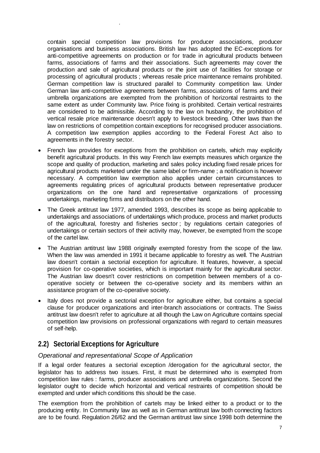contain special competition law provisions for producer associations, producer organisations and business associations. British law has adopted the EC-exceptions for anti-competitive agreements on production or for trade in agricultural products between farms, associations of farms and their associations. Such agreements may cover the production and sale of agricultural products or the joint use of facilities for storage or processing of agricultural products ; whereas resale price maintenance remains prohibited. German competition law is structured parallel to Community competition law. Under German law anti-competitive agreements between farms, associations of farms and their umbrella organizations are exempted from the prohibition of horizontal restraints to the same extent as under Community law. Price fixing is prohibited. Certain vertical restraints are considered to be admissible. According to the law on husbandry, the prohibition of vertical resale price maintenance doesn't apply to livestock breeding. Other laws than the law on restrictions of competition contain exceptions for recognised producer associations. A competition law exemption applies according to the Federal Forest Act also to agreements in the forestry sector.

- French law provides for exceptions from the prohibition on cartels, which may explicitly benefit agricultural products. In this way French law exempts measures which organize the scope and quality of production, marketing and sales policy including fixed resale prices for agricultural products marketed under the same label or firm-name ; a notification is however necessary. A competition law exemption also applies under certain circumstances to agreements regulating prices of agricultural products between representative producer organizations on the one hand and representative organizations of processing undertakings, marketing firms and distributors on the other hand.
- The Greek antitrust law 1977, amended 1993, describes its scope as being applicable to undertakings and associations of undertakings which produce, process and market products of the agricultural, forestry and fisheries sector ; by regulations certain categories of undertakings or certain sectors of their activity may, however, be exempted from the scope of the cartel law.
- The Austrian antitrust law 1988 originally exempted forestry from the scope of the law. When the law was amended in 1991 it became applicable to forestry as well. The Austrian law doesn't contain a sectorial exception for agriculture. It features, however, a special provision for co-operative societies, which is important mainly for the agricultural sector. The Austrian law doesn't cover restrictions on competition between members of a cooperative society or between the co-operative society and its members within an assistance program of the co-operative society.
- Italy does not provide a sectorial exception for agriculture either, but contains a special clause for producer organizations and inter-branch associations or contracts. The Swiss antitrust law doesn't refer to agriculture at all though the Law on Agriculture contains special competition law provisions on professional organizations with regard to certain measures of self-help.

### **2.2) Sectorial Exceptions for Agriculture**

.

#### *Operational and representational Scope of Application*

If a legal order features a sectorial exception /derogation for the agricultural sector, the legislator has to address two issues. First, it must be determined who is exempted from competition law rules : farms, producer associations and umbrella organizations. Second the legislator ought to decide which horizontal and vertical restraints of competition should be exempted and under which conditions this should be the case.

The exemption from the prohibition of cartels may be linked either to a product or to the producing entity. In Community law as well as in German antitrust law both connecting factors are to be found. Regulation 26/62 and the German antitrust law since 1998 both determine the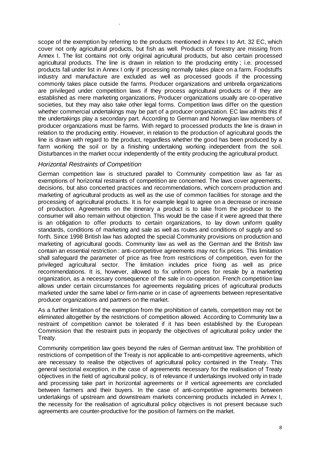scope of the exemption by referring to the products mentioned in Annex I to Art. 32 EC, which cover not only agricultural products, but fish as well. Products of forestry are missing from Annex I. The list contains not only original agricultural products, but also certain processed agricultural products. The line is drawn in relation to the producing entity ; i.e. processed products fall under list in Annex I only if processing normally takes place on a farm. Foodstuffs industry and manufacture are excluded as well as processed goods if the processing commonly takes place outside the farms. Producer organizations and umbrella organizations are privileged under competition laws if they process agricultural products or if they are established as mere marketing organizations. Producer organizations usually are co-operative societies, but they may also take other legal forms. Competition laws differ on the question whether commercial undertakings may be part of a producer organization. EC law admits this if the undertakings play a secondary part. According to German and Norwegian law members of producer organizations must be farms. With regard to processed products the line is drawn in relation to the producing entity. However, in relation to the production of agricultural goods the line is drawn with regard to the product, regardless whether the good has been produced by a farm working the soil or by a finishing undertaking working independent from the soil. Disturbances in the market occur independently of the entity producing the agricultural product.

#### *Horizontal Restraints of Competition*

.

German competition law is structured parallel to Community competition law as far as exemptions of horizontal restraints of competition are concerned. The laws cover agreements, decisions, but also concerted practices and recommendations, which concern production and marketing of agricultural products as well as the use of common facilities for storage and the processing of agricultural products. It is for example legal to agree on a decrease or increase of production. Agreements on the itinerary a product is to take from the producer to the consumer will also remain without objection. This would be the case if it were agreed that there is an obligation to offer products to certain organizations, to lay down uniform quality standards, conditions of marketing and sale as well as routes and conditions of supply and so forth. Since 1998 British law has adopted the special Community provisions on production and marketing of agricultural goods. Community law as well as the German and the British law contain an essential restriction : anti-competitive agreements may not fix prices. This limitation shall safeguard the parameter of price as free from restrictions of competition, even for the privileged agricultural sector. The limitation includes price fixing as well as price recommendations. It is, however, allowed to fix uniform prices for resale by a marketing organization, as a necessary consequence of the sale in co-operation. French competition law allows under certain circumstances for agreements regulating prices of agricultural products marketed under the same label or firm-name or in case of agreements between representative producer organizations and partners on the market.

As a further limitation of the exemption from the prohibition of cartels, competition may not be eliminated altogether by the restrictions of competition allowed. According to Community law a restraint of competition cannot be tolerated if it has been established by the European Commission that the restraint puts in jeopardy the objectives of agricultural policy under the Treaty.

Community competition law goes beyond the rules of German antitrust law. The prohibition of restrictions of competition of the Treaty is not applicable to anti-competitive agreements, which are necessary to realise the objectives of agricultural policy contained in the Treaty. This general sectorial exception, in the case of agreements necessary for the realisation of Treaty objectives in the field of agricultural policy, is of relevance if undertakings involved only in trade and processing take part in horizontal agreements or if vertical agreements are concluded between farmers and their buyers. In the case of anti-competitive agreements between undertakings of upstream and downstream markets concerning products included in Annex I, the necessity for the realisation of agricultural policy objectives is not present because such agreements are counter-productive for the position of farmers on the market.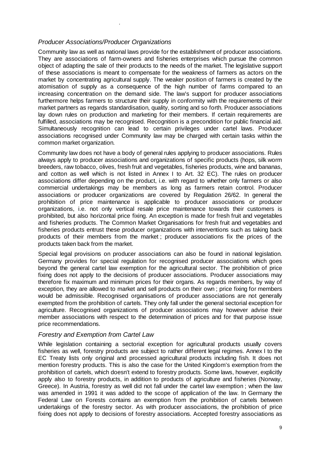#### *Producer Associations/Producer Organizations*

.

Community law as well as national laws provide for the establishment of producer associations. They are associations of farm-owners and fisheries enterprises which pursue the common object of adapting the sale of their products to the needs of the market. The legislative support of these associations is meant to compensate for the weakness of farmers as actors on the market by concentrating agricultural supply. The weaker position of farmers is created by the atomisation of supply as a consequence of the high number of farms compared to an increasing concentration on the demand side. The law's support for producer associations furthermore helps farmers to structure their supply in conformity with the requirements of their market partners as regards standardisation, quality, sorting and so forth. Producer associations lay down rules on production and marketing for their members. If certain requirements are fulfilled, associations may be recognised. Recognition is a precondition for public financial aid. Simultaneously recognition can lead to certain privileges under cartel laws. Producer associations recognised under Community law may be charged with certain tasks within the common market organization.

Community law does not have a body of general rules applying to producer associations. Rules always apply to producer associations and organizations of specific products (hops, silk worm breeders, raw tobacco, olives, fresh fruit and vegetables, fisheries products, wine and bananas, and cotton as well which is not listed in Annex I to Art. 32 EC). The rules on producer associations differ depending on the product, i.e. with regard to whether only farmers or also commercial undertakings may be members as long as farmers retain control. Producer associations or producer organizations are covered by Regulation 26/62. In general the prohibition of price maintenance is applicable to producer associations or producer organizations, i.e. not only vertical resale price maintenance towards their customers is prohibited, but also horizontal price fixing. An exception is made for fresh fruit and vegetables and fisheries products. The Common Market Organisations for fresh fruit and vegetables and fisheries products entrust these producer organizations with interventions such as taking back products of their members from the market ; producer associations fix the prices of the products taken back from the market.

Special legal provisions on producer associations can also be found in national legislation. Germany provides for special regulation for recognised producer associations which goes beyond the general cartel law exemption for the agricultural sector. The prohibition of price fixing does not apply to the decisions of producer associations. Producer associations may therefore fix maximum and minimum prices for their organs. As regards members, by way of exception, they are allowed to market and sell products on their own ; price fixing for members would be admissible. Recognised organisations of producer associations are not generally exempted from the prohibition of cartels. They only fall under the general sectorial exception for agriculture. Recognised organizations of producer associations may however advise their member associations with respect to the determination of prices and for that purpose issue price recommendations.

#### *Forestry and Exemption from Cartel Law*

While legislation containing a sectorial exception for agricultural products usually covers fisheries as well, forestry products are subject to rather different legal regimes. Annex I to the EC Treaty lists only original and processed agricultural products including fish. It does not mention forestry products. This is also the case for the United Kingdom's exemption from the prohibition of cartels, which doesn't extend to forestry products. Some laws, however, explicitly apply also to forestry products, in addition to products of agriculture and fisheries (Norway, Greece). In Austria, forestry as well did not fall under the cartel law exemption ; when the law was amended in 1991 it was added to the scope of application of the law. In Germany the Federal Law on Forests contains an exemption from the prohibition of cartels between undertakings of the forestry sector. As with producer associations, the prohibition of price fixing does not apply to decisions of forestry associations. Accepted forestry associations as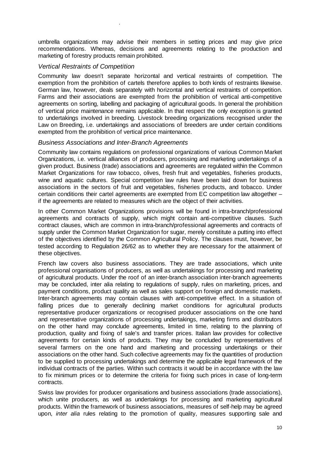umbrella organizations may advise their members in setting prices and may give price recommendations. Whereas, decisions and agreements relating to the production and marketing of forestry products remain prohibited.

#### *Vertical Restraints of Competition*

.

Community law doesn't separate horizontal and vertical restraints of competition. The exemption from the prohibition of cartels therefore applies to both kinds of restraints likewise. German law, however, deals separately with horizontal and vertical restraints of competition. Farms and their associations are exempted from the prohibition of vertical anti-competitive agreements on sorting, labelling and packaging of agricultural goods. In general the prohibition of vertical price maintenance remains applicable. In that respect the only exception is granted to undertakings involved in breeding. Livestock breeding organizations recognised under the Law on Breeding, i.e. undertakings and associations of breeders are under certain conditions exempted from the prohibition of vertical price maintenance.

#### *Business Associations and Inter-Branch Agreements*

Community law contains regulations on professional organizations of various Common Market Organizations, i.e. vertical alliances of producers, processing and marketing undertakings of a given product. Business (trade) associations and agreements are regulated within the Common Market Organizations for raw tobacco, olives, fresh fruit and vegetables, fisheries products, wine and aquatic cultures. Special competition law rules have been laid down for business associations in the sectors of fruit and vegetables, fisheries products, and tobacco. Under certain conditions their cartel agreements are exempted from EC competition law altogether – if the agreements are related to measures which are the object of their activities.

In other Common Market Organizations provisions will be found in intra-branch/professional agreements and contracts of supply, which might contain anti-competitive clauses. Such contract clauses, which are common in intra-branch/professional agreements and contracts of supply under the Common Market Organization for sugar, merely constitute a putting into effect of the objectives identified by the Common Agricultural Policy. The clauses must, however, be tested according to Regulation 26/62 as to whether they are necessary for the attainment of these objectives.

French law covers also business associations. They are trade associations, which unite professional organisations of producers, as well as undertakings for processing and marketing of agricultural products. Under the roof of an inter-branch association inter-branch agreements may be concluded, inter alia relating to regulations of supply, rules on marketing, prices, and payment conditions, product quality as well as sales support on foreign and domestic markets. Inter-branch agreements may contain clauses with anti-competitive effect. In a situation of falling prices due to generally declining market conditions for agricultural products representative producer organizations or recognised producer associations on the one hand and representative organizations of processing undertakings, marketing firms and distributors on the other hand may conclude agreements, limited in time, relating to the planning of production, quality and fixing of sale's and transfer prices. Italian law provides for collective agreements for certain kinds of products. They may be concluded by representatives of several farmers on the one hand and marketing and processing undertakings or their associations on the other hand. Such collective agreements may fix the quantities of production to be supplied to processing undertakings and determine the applicable legal framework of the individual contracts of the parties. Within such contracts it would be in accordance with the law to fix minimum prices or to determine the criteria for fixing such prices in case of long-term contracts.

Swiss law provides for producer organisations and business associations (trade associations), which unite producers, as well as undertakings for processing and marketing agricultural products. Within the framework of business associations, measures of self-help may be agreed upon, *inter alia* rules relating to the promotion of quality, measures supporting sale and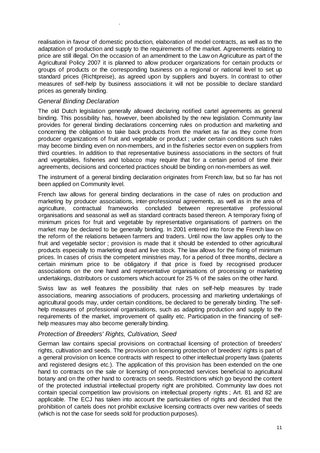realisation in favour of domestic production, elaboration of model contracts, as well as to the adaptation of production and supply to the requirements of the market. Agreements relating to price are still illegal. On the occasion of an amendment to the Law on Agriculture as part of the Agricultural Policy 2007 it is planned to allow producer organizations for certain products or groups of products or the corresponding business on a regional or national level to set up standard prices (Richtpreise), as agreed upon by suppliers and buyers. In contrast to other measures of self-help by business associations it will not be possible to declare standard prices as generally binding.

#### *General Binding Declaration*

.

The old Dutch legislation generally allowed declaring notified cartel agreements as general binding. This possibility has, however, been abolished by the new legislation. Community law provides for general binding declarations concerning rules on production and marketing and concerning the obligation to take back products from the market as far as they come from producer organizations of fruit and vegetable or product ; under certain conditions such rules may become binding even on non-members, and in the fisheries sector even on suppliers from third countries. In addition to that representative business associations in the sectors of fruit and vegetables, fisheries and tobacco may require that for a certain period of time their agreements, decisions and concerted practices should be binding on non-members as well.

The instrument of a general binding declaration originates from French law, but so far has not been applied on Community level.

French law allows for general binding declarations in the case of rules on production and marketing by producer associations, inter-professional agreements, as well as in the area of agriculture, contractual frameworks concluded between representative professional organisations and seasonal as well as standard contracts based thereon. A temporary fixing of minimum prices for fruit and vegetable by representative organisations of partners on the market may be declared to be generally binding. In 2001 entered into force the French law on the reform of the relations between farmers and traders. Until now the law applies only to the fruit and vegetable sector ; provision is made that it should be extended to other agricultural products especially to marketing dead and live stock. The law allows for the fixing of minimum prices. In cases of crisis the competent ministries may, for a period of three months, declare a certain minimum price to be obligatory if that price is fixed by recognised producer associations on the one hand and representative organisations of processing or marketing undertakings, distributors or customers which account for 25 % of the sales on the other hand.

Swiss law as well features the possibility that rules on self-help measures by trade associations, meaning associations of producers, processing and marketing undertakings of agricultural goods may, under certain conditions, be declared to be generally binding. The selfhelp measures of professional organisations, such as adapting production and supply to the requirements of the market, improvement of quality etc. Participation in the financing of selfhelp measures may also become generally binding.

#### *Protection of Breeders' Rights, Cultivation, Seed*

German law contains special provisions on contractual licensing of protection of breeders' rights, cultivation and seeds. The provision on licensing protection of breeders' rights is part of a general provision on licence contracts with respect to other intellectual property laws (patents and registered designs etc.). The application of this provision has been extended on the one hand to contracts on the sale or licensing of non-protected services beneficial to agricultural botany and on the other hand to contracts on seeds. Restrictions which go beyond the content of the protected industrial intellectual property right are prohibited. Community law does not contain special competition law provisions on intellectual property rights ; Art. 81 and 82 are applicable. The ECJ has taken into account the particularities of rights and decided that the prohibition of cartels does not prohibit exclusive licensing contracts over new varities of seeds (which is not the case for seeds sold for production purposes).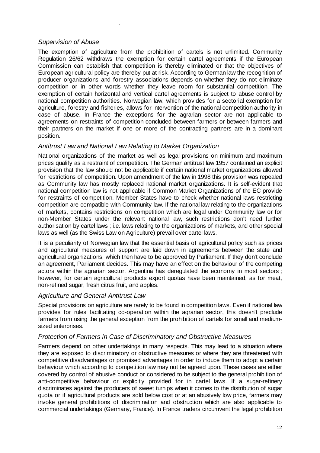#### *Supervision of Abuse*

.

The exemption of agriculture from the prohibition of cartels is not unlimited. Community Regulation 26/62 withdraws the exemption for certain cartel agreements if the European Commission can establish that competition is thereby eliminated or that the objectives of European agricultural policy are thereby put at risk. According to German law the recognition of producer organizations and forestry associations depends on whether they do not eliminate competition or in other words whether they leave room for substantial competition. The exemption of certain horizontal and vertical cartel agreements is subject to abuse control by national competition authorities. Norwegian law, which provides for a sectorial exemption for agriculture, forestry and fisheries, allows for intervention of the national competition authority in case of abuse. In France the exceptions for the agrarian sector are not applicable to agreements on restraints of competition concluded between farmers or between farmers and their partners on the market if one or more of the contracting partners are in a dominant position.

#### *Antitrust Law and National Law Relating to Market Organization*

National organizations of the market as well as legal provisions on minimum and maximum prices qualify as a restraint of competition. The German antitrust law 1957 contained an explicit provision that the law should not be applicable if certain national market organizations allowed for restrictions of competition. Upon amendment of the law in 1998 this provision was repealed as Community law has mostly replaced national market organizations. It is self-evident that national competition law is not applicable if Common Market Organizations of the EC provide for restraints of competition. Member States have to check whether national laws restricting competition are compatible with Community law. If the national law relating to the organizations of markets, contains restrictions on competition which are legal under Community law or for non-Member States under the relevant national law, such restrictions don't need further authorisation by cartel laws ; i.e. laws relating to the organizations of markets, and other special laws as well (as the Swiss Law on Agriculture) prevail over cartel laws.

It is a peculiarity of Norwegian law that the essential basis of agricultural policy such as prices and agricultural measures of support are laid down in agreements between the state and agricultural organizations, which then have to be approved by Parliament. If they don't conclude an agreement, Parliament decides. This may have an effect on the behaviour of the competing actors within the agrarian sector. Argentina has deregulated the economy in most sectors ; however, for certain agricultural products export quotas have been maintained, as for meat, non-refined sugar, fresh citrus fruit, and apples.

#### *Agriculture and General Antitrust Law*

Special provisions on agriculture are rarely to be found in competition laws. Even if national law provides for rules facilitating co-operation within the agrarian sector, this doesn't preclude farmers from using the general exception from the prohibition of cartels for small and mediumsized enterprises.

#### *Protection of Farmers in Case of Discriminatory and Obstructive Measures*

Farmers depend on other undertakings in many respects. This may lead to a situation where they are exposed to discriminatory or obstructive measures or where they are threatened with competitive disadvantages or promised advantages in order to induce them to adopt a certain behaviour which according to competition law may not be agreed upon. These cases are either covered by control of abusive conduct or considered to be subject to the general prohibition of anti-competitive behaviour or explicitly provided for in cartel laws. If a sugar-refinery discriminates against the producers of sweet turnips when it comes to the distribution of sugar quota or if agricultural products are sold below cost or at an abusively low price, farmers may invoke general prohibitions of discrimination and obstruction which are also applicable to commercial undertakings (Germany, France). In France traders circumvent the legal prohibition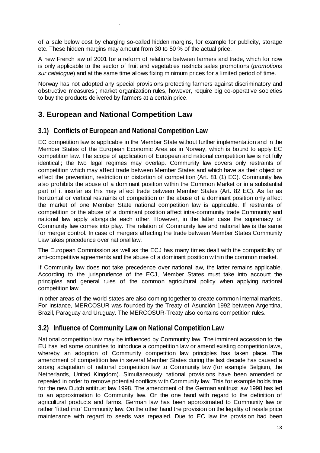of a sale below cost by charging so-called hidden margins, for example for publicity, storage etc. These hidden margins may amount from 30 to 50 % of the actual price.

A new French law of 2001 for a reform of relations between farmers and trade, which for now is only applicable to the sector of fruit and vegetables restricts sales promotions (*promotions sur catalogue*) and at the same time allows fixing minimum prices for a limited period of time.

Norway has not adopted any special provisions protecting farmers against discriminatory and obstructive measures ; market organization rules, however, require big co-operative societies to buy the products delivered by farmers at a certain price.

### **3. European and National Competition Law**

.

#### **3.1) Conflicts of European and National Competition Law**

EC competition law is applicable in the Member State without further implementation and in the Member States of the European Economic Area as in Norway, which is bound to apply EC competition law. The scope of application of European and national competition law is not fully identical ; the two legal regimes may overlap. Community law covers only restraints of competition which may affect trade between Member States and which have as their object or effect the prevention, restriction or distortion of competition (Art. 81 (1) EC). Community law also prohibits the abuse of a dominant position within the Common Market or in a substantial part of it insofar as this may affect trade between Member States (Art. 82 EC). As far as horizontal or vertical restraints of competition or the abuse of a dominant position only affect the market of one Member State national competition law is applicable. If restraints of competition or the abuse of a dominant position affect intra-community trade Community and national law apply alongside each other. However, in the latter case the supremacy of Community law comes into play. The relation of Community law and national law is the same for merger control. In case of mergers affecting the trade between Member States Community Law takes precedence over national law.

The European Commission as well as the ECJ has many times dealt with the compatibility of anti-competitive agreements and the abuse of a dominant position within the common market.

If Community law does not take precedence over national law, the latter remains applicable. According to the jurisprudence of the ECJ, Member States must take into account the principles and general rules of the common agricultural policy when applying national competition law.

In other areas of the world states are also coming together to create common internal markets. For instance, MERCOSUR was founded by the Treaty of Asunción 1992 between Argentina, Brazil, Paraguay and Uruguay. The MERCOSUR-Treaty also contains competition rules.

#### **3.2) Influence of Community Law on National Competition Law**

National competition law may be influenced by Community law. The imminent accession to the EU has led some countries to introduce a competition law or amend existing competition laws, whereby an adoption of Community competition law principles has taken place. The amendment of competition law in several Member States during the last decade has caused a strong adaptation of national competition law to Community law (for example Belgium, the Netherlands, United Kingdom). Simultaneously national provisions have been amended or repealed in order to remove potential conflicts with Community law. This for example holds true for the new Dutch antitrust law 1998. The amendment of the German antitrust law 1998 has led to an approximation to Community law. On the one hand with regard to the definition of agricultural products and farms, German law has been approximated to Community law or rather 'fitted into' Community law. On the other hand the provision on the legality of resale price maintenance with regard to seeds was repealed. Due to EC law the provision had been